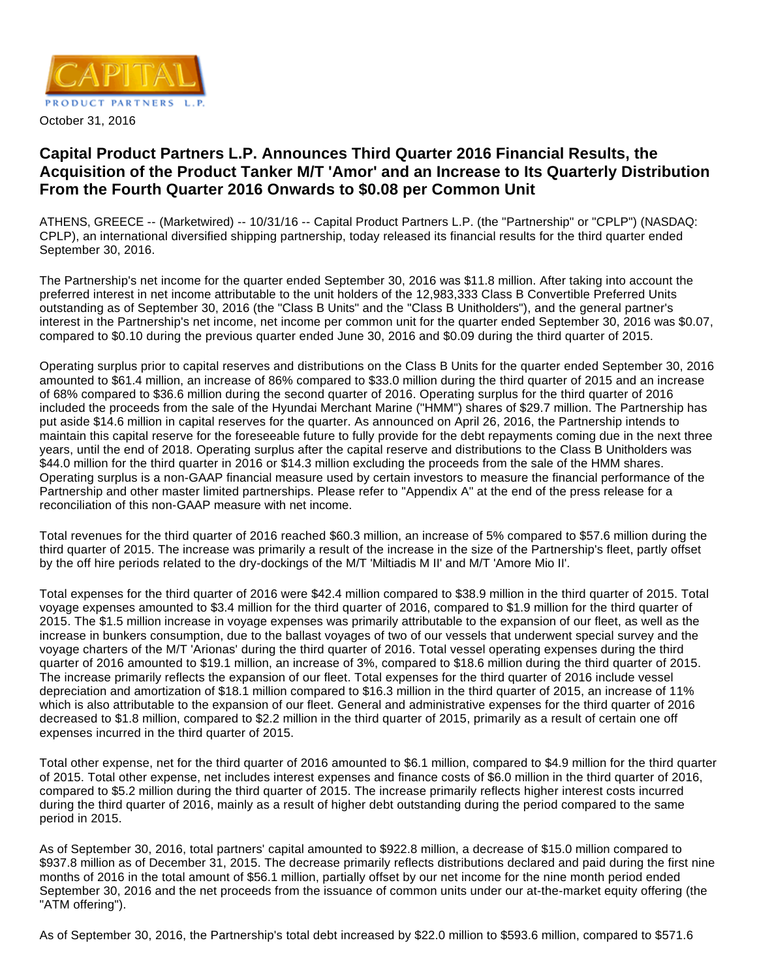

# **Capital Product Partners L.P. Announces Third Quarter 2016 Financial Results, the Acquisition of the Product Tanker M/T 'Amor' and an Increase to Its Quarterly Distribution From the Fourth Quarter 2016 Onwards to \$0.08 per Common Unit**

ATHENS, GREECE -- (Marketwired) -- 10/31/16 -- Capital Product Partners L.P. (the "Partnership" or "CPLP") (NASDAQ: CPLP), an international diversified shipping partnership, today released its financial results for the third quarter ended September 30, 2016.

The Partnership's net income for the quarter ended September 30, 2016 was \$11.8 million. After taking into account the preferred interest in net income attributable to the unit holders of the 12,983,333 Class B Convertible Preferred Units outstanding as of September 30, 2016 (the "Class B Units" and the "Class B Unitholders"), and the general partner's interest in the Partnership's net income, net income per common unit for the quarter ended September 30, 2016 was \$0.07, compared to \$0.10 during the previous quarter ended June 30, 2016 and \$0.09 during the third quarter of 2015.

Operating surplus prior to capital reserves and distributions on the Class B Units for the quarter ended September 30, 2016 amounted to \$61.4 million, an increase of 86% compared to \$33.0 million during the third quarter of 2015 and an increase of 68% compared to \$36.6 million during the second quarter of 2016. Operating surplus for the third quarter of 2016 included the proceeds from the sale of the Hyundai Merchant Marine ("HMM") shares of \$29.7 million. The Partnership has put aside \$14.6 million in capital reserves for the quarter. As announced on April 26, 2016, the Partnership intends to maintain this capital reserve for the foreseeable future to fully provide for the debt repayments coming due in the next three years, until the end of 2018. Operating surplus after the capital reserve and distributions to the Class B Unitholders was \$44.0 million for the third quarter in 2016 or \$14.3 million excluding the proceeds from the sale of the HMM shares. Operating surplus is a non-GAAP financial measure used by certain investors to measure the financial performance of the Partnership and other master limited partnerships. Please refer to "Appendix A" at the end of the press release for a reconciliation of this non-GAAP measure with net income.

Total revenues for the third quarter of 2016 reached \$60.3 million, an increase of 5% compared to \$57.6 million during the third quarter of 2015. The increase was primarily a result of the increase in the size of the Partnership's fleet, partly offset by the off hire periods related to the dry-dockings of the M/T 'Miltiadis M II' and M/T 'Amore Mio II'.

Total expenses for the third quarter of 2016 were \$42.4 million compared to \$38.9 million in the third quarter of 2015. Total voyage expenses amounted to \$3.4 million for the third quarter of 2016, compared to \$1.9 million for the third quarter of 2015. The \$1.5 million increase in voyage expenses was primarily attributable to the expansion of our fleet, as well as the increase in bunkers consumption, due to the ballast voyages of two of our vessels that underwent special survey and the voyage charters of the M/T 'Arionas' during the third quarter of 2016. Total vessel operating expenses during the third quarter of 2016 amounted to \$19.1 million, an increase of 3%, compared to \$18.6 million during the third quarter of 2015. The increase primarily reflects the expansion of our fleet. Total expenses for the third quarter of 2016 include vessel depreciation and amortization of \$18.1 million compared to \$16.3 million in the third quarter of 2015, an increase of 11% which is also attributable to the expansion of our fleet. General and administrative expenses for the third quarter of 2016 decreased to \$1.8 million, compared to \$2.2 million in the third quarter of 2015, primarily as a result of certain one off expenses incurred in the third quarter of 2015.

Total other expense, net for the third quarter of 2016 amounted to \$6.1 million, compared to \$4.9 million for the third quarter of 2015. Total other expense, net includes interest expenses and finance costs of \$6.0 million in the third quarter of 2016, compared to \$5.2 million during the third quarter of 2015. The increase primarily reflects higher interest costs incurred during the third quarter of 2016, mainly as a result of higher debt outstanding during the period compared to the same period in 2015.

As of September 30, 2016, total partners' capital amounted to \$922.8 million, a decrease of \$15.0 million compared to \$937.8 million as of December 31, 2015. The decrease primarily reflects distributions declared and paid during the first nine months of 2016 in the total amount of \$56.1 million, partially offset by our net income for the nine month period ended September 30, 2016 and the net proceeds from the issuance of common units under our at-the-market equity offering (the "ATM offering").

As of September 30, 2016, the Partnership's total debt increased by \$22.0 million to \$593.6 million, compared to \$571.6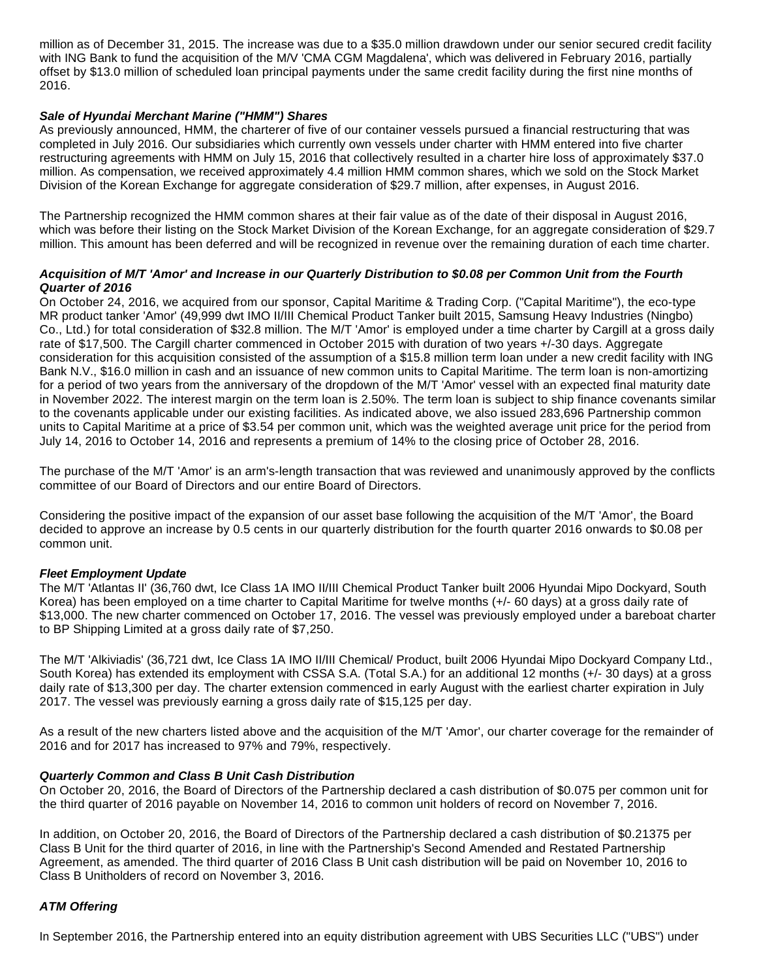million as of December 31, 2015. The increase was due to a \$35.0 million drawdown under our senior secured credit facility with ING Bank to fund the acquisition of the M/V 'CMA CGM Magdalena', which was delivered in February 2016, partially offset by \$13.0 million of scheduled loan principal payments under the same credit facility during the first nine months of 2016.

## **Sale of Hyundai Merchant Marine ("HMM") Shares**

As previously announced, HMM, the charterer of five of our container vessels pursued a financial restructuring that was completed in July 2016. Our subsidiaries which currently own vessels under charter with HMM entered into five charter restructuring agreements with HMM on July 15, 2016 that collectively resulted in a charter hire loss of approximately \$37.0 million. As compensation, we received approximately 4.4 million HMM common shares, which we sold on the Stock Market Division of the Korean Exchange for aggregate consideration of \$29.7 million, after expenses, in August 2016.

The Partnership recognized the HMM common shares at their fair value as of the date of their disposal in August 2016, which was before their listing on the Stock Market Division of the Korean Exchange, for an aggregate consideration of \$29.7 million. This amount has been deferred and will be recognized in revenue over the remaining duration of each time charter.

## **Acquisition of M/T 'Amor' and Increase in our Quarterly Distribution to \$0.08 per Common Unit from the Fourth Quarter of 2016**

On October 24, 2016, we acquired from our sponsor, Capital Maritime & Trading Corp. ("Capital Maritime"), the eco-type MR product tanker 'Amor' (49,999 dwt IMO II/III Chemical Product Tanker built 2015, Samsung Heavy Industries (Ningbo) Co., Ltd.) for total consideration of \$32.8 million. The M/T 'Amor' is employed under a time charter by Cargill at a gross daily rate of \$17,500. The Cargill charter commenced in October 2015 with duration of two years +/-30 days. Aggregate consideration for this acquisition consisted of the assumption of a \$15.8 million term loan under a new credit facility with ING Bank N.V., \$16.0 million in cash and an issuance of new common units to Capital Maritime. The term loan is non-amortizing for a period of two years from the anniversary of the dropdown of the M/T 'Amor' vessel with an expected final maturity date in November 2022. The interest margin on the term loan is 2.50%. The term loan is subject to ship finance covenants similar to the covenants applicable under our existing facilities. As indicated above, we also issued 283,696 Partnership common units to Capital Maritime at a price of \$3.54 per common unit, which was the weighted average unit price for the period from July 14, 2016 to October 14, 2016 and represents a premium of 14% to the closing price of October 28, 2016.

The purchase of the M/T 'Amor' is an arm's-length transaction that was reviewed and unanimously approved by the conflicts committee of our Board of Directors and our entire Board of Directors.

Considering the positive impact of the expansion of our asset base following the acquisition of the M/T 'Amor', the Board decided to approve an increase by 0.5 cents in our quarterly distribution for the fourth quarter 2016 onwards to \$0.08 per common unit.

## **Fleet Employment Update**

The M/T 'Atlantas II' (36,760 dwt, Ice Class 1A IMO II/III Chemical Product Tanker built 2006 Hyundai Mipo Dockyard, South Korea) has been employed on a time charter to Capital Maritime for twelve months (+/- 60 days) at a gross daily rate of \$13,000. The new charter commenced on October 17, 2016. The vessel was previously employed under a bareboat charter to BP Shipping Limited at a gross daily rate of \$7,250.

The M/T 'Alkiviadis' (36,721 dwt, Ice Class 1A IMO II/III Chemical/ Product, built 2006 Hyundai Mipo Dockyard Company Ltd., South Korea) has extended its employment with CSSA S.A. (Total S.A.) for an additional 12 months (+/- 30 days) at a gross daily rate of \$13,300 per day. The charter extension commenced in early August with the earliest charter expiration in July 2017. The vessel was previously earning a gross daily rate of \$15,125 per day.

As a result of the new charters listed above and the acquisition of the M/T 'Amor', our charter coverage for the remainder of 2016 and for 2017 has increased to 97% and 79%, respectively.

## **Quarterly Common and Class B Unit Cash Distribution**

On October 20, 2016, the Board of Directors of the Partnership declared a cash distribution of \$0.075 per common unit for the third quarter of 2016 payable on November 14, 2016 to common unit holders of record on November 7, 2016.

In addition, on October 20, 2016, the Board of Directors of the Partnership declared a cash distribution of \$0.21375 per Class B Unit for the third quarter of 2016, in line with the Partnership's Second Amended and Restated Partnership Agreement, as amended. The third quarter of 2016 Class B Unit cash distribution will be paid on November 10, 2016 to Class B Unitholders of record on November 3, 2016.

## **ATM Offering**

In September 2016, the Partnership entered into an equity distribution agreement with UBS Securities LLC ("UBS") under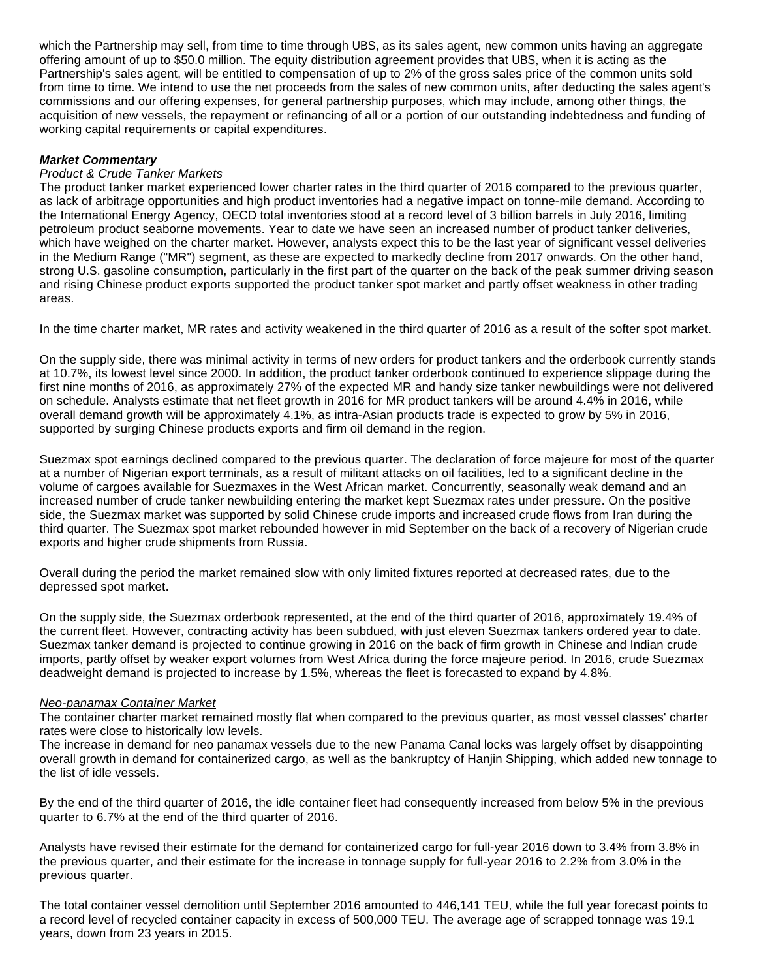which the Partnership may sell, from time to time through UBS, as its sales agent, new common units having an aggregate offering amount of up to \$50.0 million. The equity distribution agreement provides that UBS, when it is acting as the Partnership's sales agent, will be entitled to compensation of up to 2% of the gross sales price of the common units sold from time to time. We intend to use the net proceeds from the sales of new common units, after deducting the sales agent's commissions and our offering expenses, for general partnership purposes, which may include, among other things, the acquisition of new vessels, the repayment or refinancing of all or a portion of our outstanding indebtedness and funding of working capital requirements or capital expenditures.

## **Market Commentary**

## **Product & Crude Tanker Markets**

The product tanker market experienced lower charter rates in the third quarter of 2016 compared to the previous quarter, as lack of arbitrage opportunities and high product inventories had a negative impact on tonne-mile demand. According to the International Energy Agency, OECD total inventories stood at a record level of 3 billion barrels in July 2016, limiting petroleum product seaborne movements. Year to date we have seen an increased number of product tanker deliveries, which have weighed on the charter market. However, analysts expect this to be the last year of significant vessel deliveries in the Medium Range ("MR") segment, as these are expected to markedly decline from 2017 onwards. On the other hand, strong U.S. gasoline consumption, particularly in the first part of the quarter on the back of the peak summer driving season and rising Chinese product exports supported the product tanker spot market and partly offset weakness in other trading areas.

In the time charter market, MR rates and activity weakened in the third quarter of 2016 as a result of the softer spot market.

On the supply side, there was minimal activity in terms of new orders for product tankers and the orderbook currently stands at 10.7%, its lowest level since 2000. In addition, the product tanker orderbook continued to experience slippage during the first nine months of 2016, as approximately 27% of the expected MR and handy size tanker newbuildings were not delivered on schedule. Analysts estimate that net fleet growth in 2016 for MR product tankers will be around 4.4% in 2016, while overall demand growth will be approximately 4.1%, as intra-Asian products trade is expected to grow by 5% in 2016, supported by surging Chinese products exports and firm oil demand in the region.

Suezmax spot earnings declined compared to the previous quarter. The declaration of force majeure for most of the quarter at a number of Nigerian export terminals, as a result of militant attacks on oil facilities, led to a significant decline in the volume of cargoes available for Suezmaxes in the West African market. Concurrently, seasonally weak demand and an increased number of crude tanker newbuilding entering the market kept Suezmax rates under pressure. On the positive side, the Suezmax market was supported by solid Chinese crude imports and increased crude flows from Iran during the third quarter. The Suezmax spot market rebounded however in mid September on the back of a recovery of Nigerian crude exports and higher crude shipments from Russia.

Overall during the period the market remained slow with only limited fixtures reported at decreased rates, due to the depressed spot market.

On the supply side, the Suezmax orderbook represented, at the end of the third quarter of 2016, approximately 19.4% of the current fleet. However, contracting activity has been subdued, with just eleven Suezmax tankers ordered year to date. Suezmax tanker demand is projected to continue growing in 2016 on the back of firm growth in Chinese and Indian crude imports, partly offset by weaker export volumes from West Africa during the force majeure period. In 2016, crude Suezmax deadweight demand is projected to increase by 1.5%, whereas the fleet is forecasted to expand by 4.8%.

## Neo-panamax Container Market

The container charter market remained mostly flat when compared to the previous quarter, as most vessel classes' charter rates were close to historically low levels.

The increase in demand for neo panamax vessels due to the new Panama Canal locks was largely offset by disappointing overall growth in demand for containerized cargo, as well as the bankruptcy of Hanjin Shipping, which added new tonnage to the list of idle vessels.

By the end of the third quarter of 2016, the idle container fleet had consequently increased from below 5% in the previous quarter to 6.7% at the end of the third quarter of 2016.

Analysts have revised their estimate for the demand for containerized cargo for full-year 2016 down to 3.4% from 3.8% in the previous quarter, and their estimate for the increase in tonnage supply for full-year 2016 to 2.2% from 3.0% in the previous quarter.

The total container vessel demolition until September 2016 amounted to 446,141 TEU, while the full year forecast points to a record level of recycled container capacity in excess of 500,000 TEU. The average age of scrapped tonnage was 19.1 years, down from 23 years in 2015.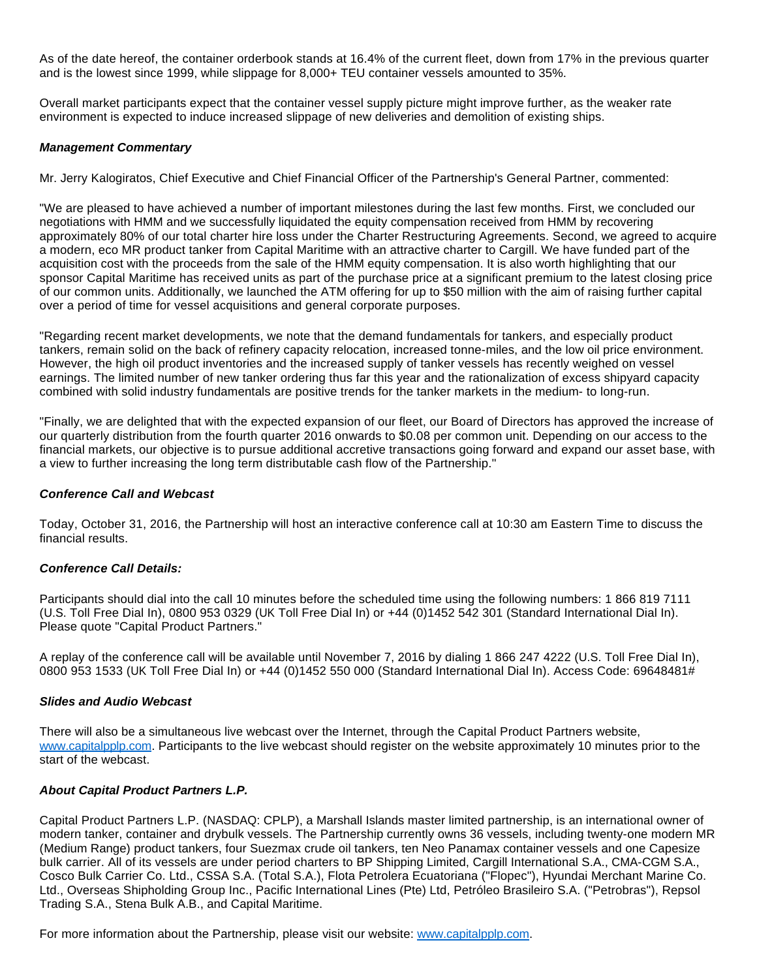As of the date hereof, the container orderbook stands at 16.4% of the current fleet, down from 17% in the previous quarter and is the lowest since 1999, while slippage for 8,000+ TEU container vessels amounted to 35%.

Overall market participants expect that the container vessel supply picture might improve further, as the weaker rate environment is expected to induce increased slippage of new deliveries and demolition of existing ships.

#### **Management Commentary**

Mr. Jerry Kalogiratos, Chief Executive and Chief Financial Officer of the Partnership's General Partner, commented:

"We are pleased to have achieved a number of important milestones during the last few months. First, we concluded our negotiations with HMM and we successfully liquidated the equity compensation received from HMM by recovering approximately 80% of our total charter hire loss under the Charter Restructuring Agreements. Second, we agreed to acquire a modern, eco MR product tanker from Capital Maritime with an attractive charter to Cargill. We have funded part of the acquisition cost with the proceeds from the sale of the HMM equity compensation. It is also worth highlighting that our sponsor Capital Maritime has received units as part of the purchase price at a significant premium to the latest closing price of our common units. Additionally, we launched the ATM offering for up to \$50 million with the aim of raising further capital over a period of time for vessel acquisitions and general corporate purposes.

"Regarding recent market developments, we note that the demand fundamentals for tankers, and especially product tankers, remain solid on the back of refinery capacity relocation, increased tonne-miles, and the low oil price environment. However, the high oil product inventories and the increased supply of tanker vessels has recently weighed on vessel earnings. The limited number of new tanker ordering thus far this year and the rationalization of excess shipyard capacity combined with solid industry fundamentals are positive trends for the tanker markets in the medium- to long-run.

"Finally, we are delighted that with the expected expansion of our fleet, our Board of Directors has approved the increase of our quarterly distribution from the fourth quarter 2016 onwards to \$0.08 per common unit. Depending on our access to the financial markets, our objective is to pursue additional accretive transactions going forward and expand our asset base, with a view to further increasing the long term distributable cash flow of the Partnership."

### **Conference Call and Webcast**

Today, October 31, 2016, the Partnership will host an interactive conference call at 10:30 am Eastern Time to discuss the financial results.

## **Conference Call Details:**

Participants should dial into the call 10 minutes before the scheduled time using the following numbers: 1 866 819 7111 (U.S. Toll Free Dial In), 0800 953 0329 (UK Toll Free Dial In) or +44 (0)1452 542 301 (Standard International Dial In). Please quote "Capital Product Partners."

A replay of the conference call will be available until November 7, 2016 by dialing 1 866 247 4222 (U.S. Toll Free Dial In), 0800 953 1533 (UK Toll Free Dial In) or +44 (0)1452 550 000 (Standard International Dial In). Access Code: 69648481#

#### **Slides and Audio Webcast**

There will also be a simultaneous live webcast over the Internet, through the Capital Product Partners website, [www.capitalpplp.com.](http://www.capitalpplp.com/) Participants to the live webcast should register on the website approximately 10 minutes prior to the start of the webcast.

## **About Capital Product Partners L.P.**

Capital Product Partners L.P. (NASDAQ: CPLP), a Marshall Islands master limited partnership, is an international owner of modern tanker, container and drybulk vessels. The Partnership currently owns 36 vessels, including twenty-one modern MR (Medium Range) product tankers, four Suezmax crude oil tankers, ten Neo Panamax container vessels and one Capesize bulk carrier. All of its vessels are under period charters to BP Shipping Limited, Cargill International S.A., CMA-CGM S.A., Cosco Bulk Carrier Co. Ltd., CSSA S.A. (Total S.A.), Flota Petrolera Ecuatoriana ("Flopec"), Hyundai Merchant Marine Co. Ltd., Overseas Shipholding Group Inc., Pacific International Lines (Pte) Ltd, Petróleo Brasileiro S.A. ("Petrobras"), Repsol Trading S.A., Stena Bulk A.B., and Capital Maritime.

For more information about the Partnership, please visit our website: [www.capitalpplp.com](http://www.capitalpplp.com/).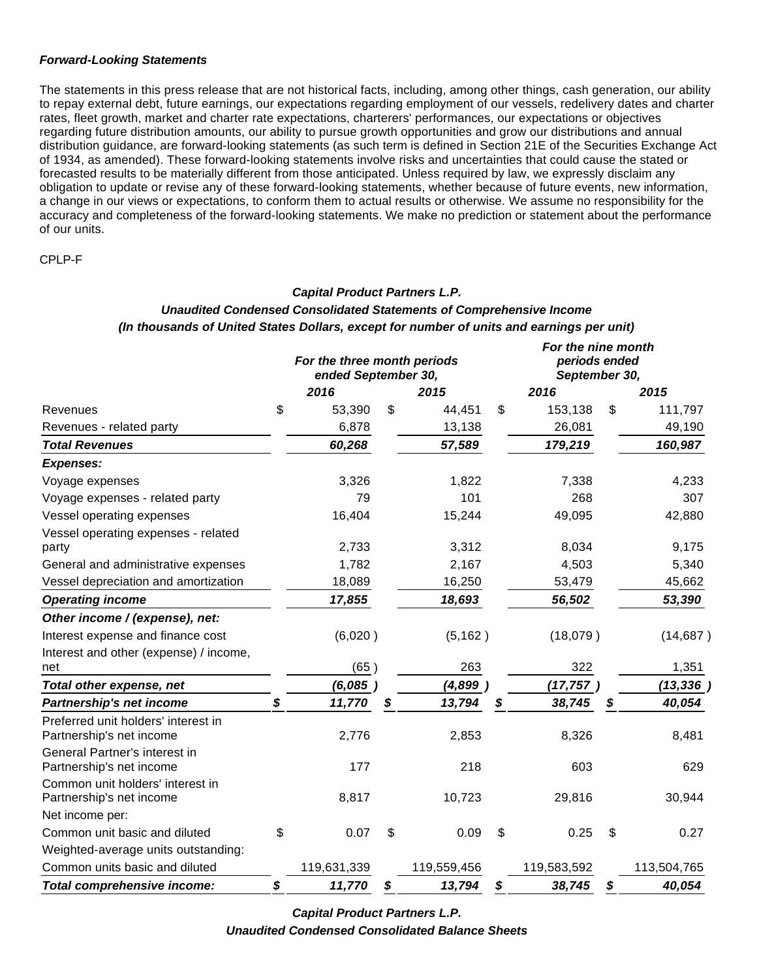### **Forward-Looking Statements**

The statements in this press release that are not historical facts, including, among other things, cash generation, our ability to repay external debt, future earnings, our expectations regarding employment of our vessels, redelivery dates and charter rates, fleet growth, market and charter rate expectations, charterers' performances, our expectations or objectives regarding future distribution amounts, our ability to pursue growth opportunities and grow our distributions and annual distribution guidance, are forward-looking statements (as such term is defined in Section 21E of the Securities Exchange Act of 1934, as amended). These forward-looking statements involve risks and uncertainties that could cause the stated or forecasted results to be materially different from those anticipated. Unless required by law, we expressly disclaim any obligation to update or revise any of these forward-looking statements, whether because of future events, new information, a change in our views or expectations, to conform them to actual results or otherwise. We assume no responsibility for the accuracy and completeness of the forward-looking statements. We make no prediction or statement about the performance of our units.

CPLP-F

## **Capital Product Partners L.P.**

## **Unaudited Condensed Consolidated Statements of Comprehensive Income (In thousands of United States Dollars, except for number of units and earnings per unit)**

|                                                                 | For the three month periods<br>ended September 30, |              |    | For the nine month<br>periods ended<br>September 30, |    |             |
|-----------------------------------------------------------------|----------------------------------------------------|--------------|----|------------------------------------------------------|----|-------------|
|                                                                 | 2016                                               | 2015         |    | 2016                                                 |    | 2015        |
| Revenues                                                        | \$<br>53,390                                       | \$<br>44,451 | \$ | 153,138                                              | \$ | 111,797     |
| Revenues - related party                                        | 6,878                                              | 13,138       |    | 26,081                                               |    | 49,190      |
| <b>Total Revenues</b>                                           | 60,268                                             | 57,589       |    | 179,219                                              |    | 160,987     |
| <b>Expenses:</b>                                                |                                                    |              |    |                                                      |    |             |
| Voyage expenses                                                 | 3,326                                              | 1,822        |    | 7,338                                                |    | 4,233       |
| Voyage expenses - related party                                 | 79                                                 | 101          |    | 268                                                  |    | 307         |
| Vessel operating expenses                                       | 16,404                                             | 15,244       |    | 49,095                                               |    | 42,880      |
| Vessel operating expenses - related<br>party                    | 2,733                                              | 3,312        |    | 8,034                                                |    | 9,175       |
| General and administrative expenses                             | 1,782                                              | 2,167        |    | 4,503                                                |    | 5,340       |
| Vessel depreciation and amortization                            | 18,089                                             | 16,250       |    | 53,479                                               |    | 45,662      |
| <b>Operating income</b>                                         | 17,855                                             | 18,693       |    | 56,502                                               |    | 53,390      |
| Other income / (expense), net:                                  |                                                    |              |    |                                                      |    |             |
| Interest expense and finance cost                               | (6,020)                                            | (5, 162)     |    | (18,079)                                             |    | (14, 687)   |
| Interest and other (expense) / income,                          |                                                    |              |    |                                                      |    |             |
| net                                                             | (65)                                               | 263          |    | 322                                                  |    | 1,351       |
| Total other expense, net                                        | (6,085)                                            | (4,899)      |    | (17, 757)                                            |    | (13, 336)   |
| Partnership's net income                                        | \$<br>11,770                                       | \$<br>13,794 | \$ | 38,745                                               | \$ | 40,054      |
| Preferred unit holders' interest in<br>Partnership's net income | 2,776                                              | 2,853        |    | 8,326                                                |    | 8,481       |
| General Partner's interest in<br>Partnership's net income       | 177                                                | 218          |    | 603                                                  |    | 629         |
| Common unit holders' interest in<br>Partnership's net income    | 8,817                                              | 10,723       |    | 29,816                                               |    | 30,944      |
| Net income per:                                                 |                                                    |              |    |                                                      |    |             |
| Common unit basic and diluted                                   | \$<br>0.07                                         | \$<br>0.09   | \$ | 0.25                                                 | \$ | 0.27        |
| Weighted-average units outstanding:                             |                                                    |              |    |                                                      |    |             |
| Common units basic and diluted                                  | 119,631,339                                        | 119,559,456  |    | 119,583,592                                          |    | 113,504,765 |
| Total comprehensive income:                                     | \$<br>11,770                                       | \$<br>13,794 | S  | 38,745                                               | S  | 40,054      |

**Capital Product Partners L.P. Unaudited Condensed Consolidated Balance Sheets**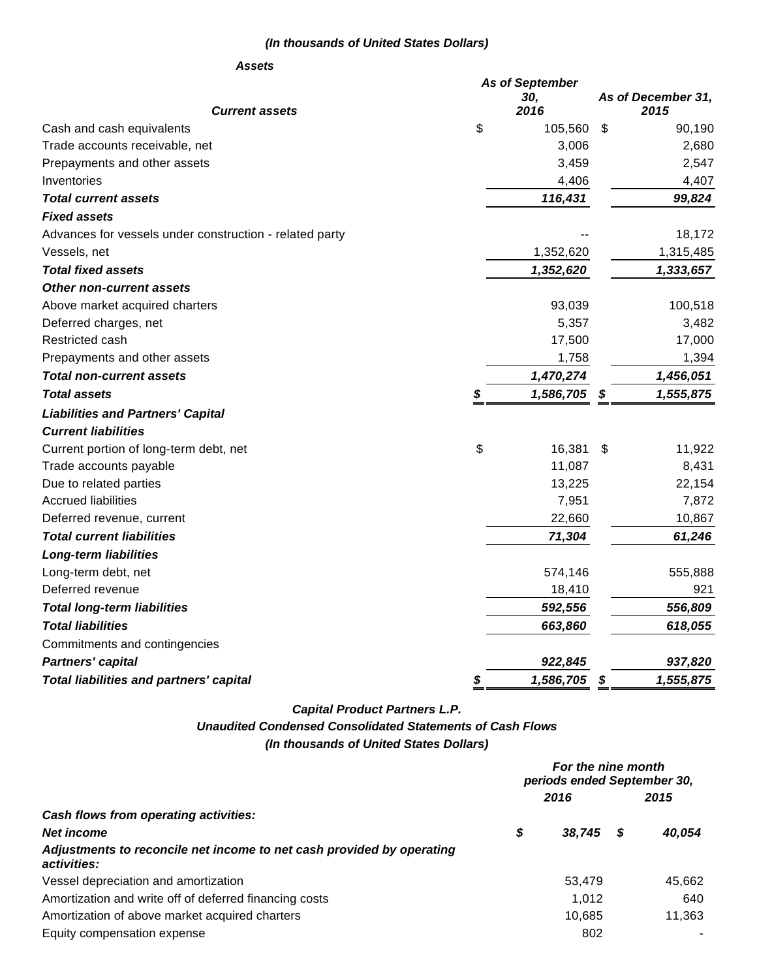## **(In thousands of United States Dollars)**

#### **Assets**

|                                                         |    | <b>As of September</b> |                    |
|---------------------------------------------------------|----|------------------------|--------------------|
|                                                         |    | 30,                    | As of December 31, |
| <b>Current assets</b>                                   |    | 2016                   | 2015               |
| Cash and cash equivalents                               | \$ | 105,560                | \$<br>90,190       |
| Trade accounts receivable, net                          |    | 3,006                  | 2,680              |
| Prepayments and other assets                            |    | 3,459                  | 2,547              |
| Inventories                                             |    | 4,406                  | 4,407              |
| <b>Total current assets</b>                             |    | 116,431                | 99,824             |
| <b>Fixed assets</b>                                     |    |                        |                    |
| Advances for vessels under construction - related party |    |                        | 18,172             |
| Vessels, net                                            |    | 1,352,620              | 1,315,485          |
| <b>Total fixed assets</b>                               |    | 1,352,620              | 1,333,657          |
| <b>Other non-current assets</b>                         |    |                        |                    |
| Above market acquired charters                          |    | 93,039                 | 100,518            |
| Deferred charges, net                                   |    | 5,357                  | 3,482              |
| Restricted cash                                         |    | 17,500                 | 17,000             |
| Prepayments and other assets                            |    | 1,758                  | 1,394              |
| <b>Total non-current assets</b>                         |    | 1,470,274              | 1,456,051          |
| <b>Total assets</b>                                     | S  | 1,586,705              | \$<br>1,555,875    |
| <b>Liabilities and Partners' Capital</b>                |    |                        |                    |
| <b>Current liabilities</b>                              |    |                        |                    |
| Current portion of long-term debt, net                  | \$ | 16,381                 | \$<br>11,922       |
| Trade accounts payable                                  |    | 11,087                 | 8,431              |
| Due to related parties                                  |    | 13,225                 | 22,154             |
| <b>Accrued liabilities</b>                              |    | 7,951                  | 7,872              |
| Deferred revenue, current                               |    | 22,660                 | 10,867             |
| <b>Total current liabilities</b>                        |    | 71,304                 | 61,246             |
| <b>Long-term liabilities</b>                            |    |                        |                    |
| Long-term debt, net                                     |    | 574,146                | 555,888            |
| Deferred revenue                                        |    | 18,410                 | 921                |
| <b>Total long-term liabilities</b>                      |    | 592,556                | 556,809            |
| <b>Total liabilities</b>                                |    | 663,860                | 618,055            |
| Commitments and contingencies                           |    |                        |                    |
| <b>Partners' capital</b>                                |    | 922,845                | 937,820            |
| Total liabilities and partners' capital                 |    | 1,586,705              | \$<br>1,555,875    |

**Capital Product Partners L.P.**

# **Unaudited Condensed Consolidated Statements of Cash Flows**

**(In thousands of United States Dollars)**

|                                                                                      | For the nine month<br>periods ended September 30, |        |      |        |
|--------------------------------------------------------------------------------------|---------------------------------------------------|--------|------|--------|
|                                                                                      | 2016                                              |        | 2015 |        |
| Cash flows from operating activities:                                                |                                                   |        |      |        |
| Net income                                                                           | S                                                 | 38.745 |      | 40,054 |
| Adjustments to reconcile net income to net cash provided by operating<br>activities: |                                                   |        |      |        |
| Vessel depreciation and amortization                                                 |                                                   | 53,479 |      | 45,662 |
| Amortization and write off of deferred financing costs                               |                                                   | 1.012  |      | 640    |
| Amortization of above market acquired charters                                       |                                                   | 10.685 |      | 11,363 |
| Equity compensation expense                                                          |                                                   | 802    |      |        |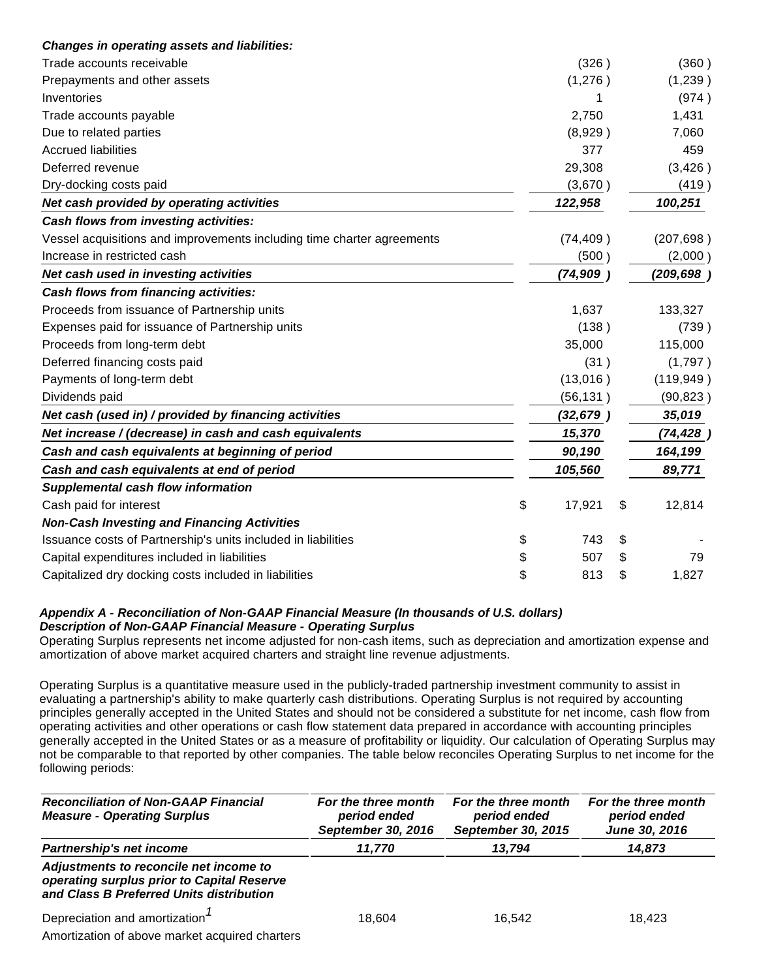| <b>Changes in operating assets and liabilities:</b>                    |              |              |
|------------------------------------------------------------------------|--------------|--------------|
| Trade accounts receivable                                              | (326)        | (360)        |
| Prepayments and other assets                                           | (1,276)      | (1,239)      |
| Inventories                                                            | 1            | (974)        |
| Trade accounts payable                                                 | 2,750        | 1,431        |
| Due to related parties                                                 | (8,929)      | 7,060        |
| <b>Accrued liabilities</b>                                             | 377          | 459          |
| Deferred revenue                                                       | 29,308       | (3,426)      |
| Dry-docking costs paid                                                 | (3,670)      | (419)        |
| Net cash provided by operating activities                              | 122,958      | 100,251      |
| Cash flows from investing activities:                                  |              |              |
| Vessel acquisitions and improvements including time charter agreements | (74, 409)    | (207, 698)   |
| Increase in restricted cash                                            | (500)        | (2,000)      |
| Net cash used in investing activities                                  | (74, 909)    | (209, 698)   |
| Cash flows from financing activities:                                  |              |              |
| Proceeds from issuance of Partnership units                            | 1,637        | 133,327      |
| Expenses paid for issuance of Partnership units                        | (138)        | (739)        |
| Proceeds from long-term debt                                           | 35,000       | 115,000      |
| Deferred financing costs paid                                          | (31)         | (1,797)      |
| Payments of long-term debt                                             | (13,016)     | (119, 949)   |
| Dividends paid                                                         | (56, 131)    | (90, 823)    |
| Net cash (used in) / provided by financing activities                  | (32, 679)    | 35,019       |
| Net increase / (decrease) in cash and cash equivalents                 | 15,370       | (74, 428)    |
| Cash and cash equivalents at beginning of period                       | 90,190       | 164,199      |
| Cash and cash equivalents at end of period                             | 105,560      | 89,771       |
| <b>Supplemental cash flow information</b>                              |              |              |
| Cash paid for interest                                                 | \$<br>17,921 | \$<br>12,814 |
| <b>Non-Cash Investing and Financing Activities</b>                     |              |              |
| Issuance costs of Partnership's units included in liabilities          | \$<br>743    | \$           |
| Capital expenditures included in liabilities                           | \$<br>507    | \$<br>79     |
| Capitalized dry docking costs included in liabilities                  | \$<br>813    | \$<br>1,827  |

## **Appendix A - Reconciliation of Non-GAAP Financial Measure (In thousands of U.S. dollars) Description of Non-GAAP Financial Measure - Operating Surplus**

Operating Surplus represents net income adjusted for non-cash items, such as depreciation and amortization expense and amortization of above market acquired charters and straight line revenue adjustments.

Operating Surplus is a quantitative measure used in the publicly-traded partnership investment community to assist in evaluating a partnership's ability to make quarterly cash distributions. Operating Surplus is not required by accounting principles generally accepted in the United States and should not be considered a substitute for net income, cash flow from operating activities and other operations or cash flow statement data prepared in accordance with accounting principles generally accepted in the United States or as a measure of profitability or liquidity. Our calculation of Operating Surplus may not be comparable to that reported by other companies. The table below reconciles Operating Surplus to net income for the following periods:

| <b>Reconciliation of Non-GAAP Financial</b><br><b>Measure - Operating Surplus</b>                                                | For the three month<br>period ended<br>September 30, 2016 | For the three month<br>period ended<br><b>September 30, 2015</b> | For the three month<br>period ended<br>June 30, 2016 |
|----------------------------------------------------------------------------------------------------------------------------------|-----------------------------------------------------------|------------------------------------------------------------------|------------------------------------------------------|
| <b>Partnership's net income</b>                                                                                                  | 11,770                                                    | 13,794                                                           | 14,873                                               |
| Adjustments to reconcile net income to<br>operating surplus prior to Capital Reserve<br>and Class B Preferred Units distribution |                                                           |                                                                  |                                                      |
| Depreciation and amortization <sup>7</sup><br>Amortization of above market acquired charters                                     | 18.604                                                    | 16.542                                                           | 18.423                                               |